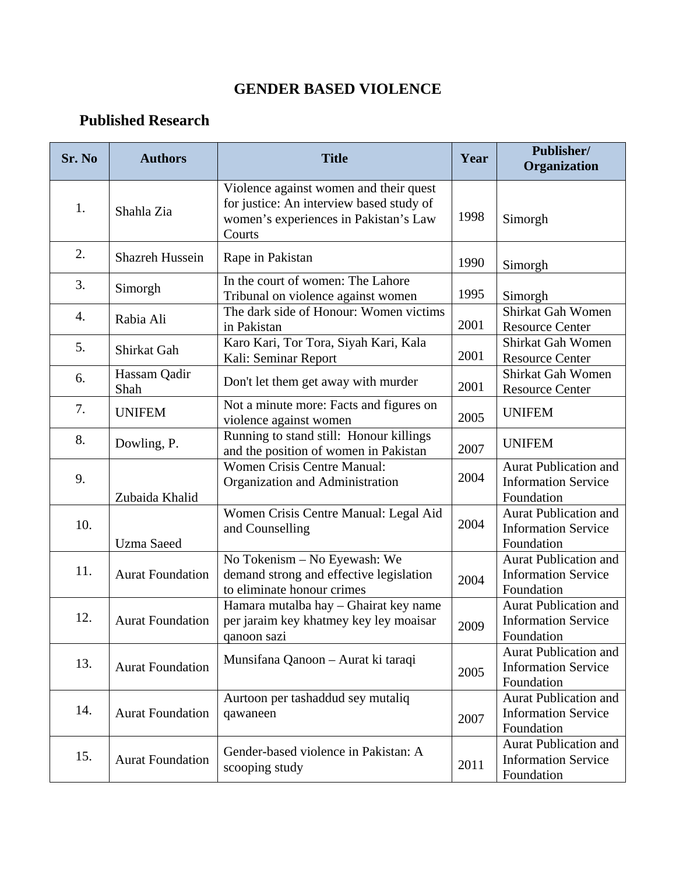## **GENDER BASED VIOLENCE**

## **Published Research**

| Sr. No | <b>Authors</b>          | <b>Title</b>                                                                                                                          | Year | Publisher/<br>Organization                                               |
|--------|-------------------------|---------------------------------------------------------------------------------------------------------------------------------------|------|--------------------------------------------------------------------------|
| 1.     | Shahla Zia              | Violence against women and their quest<br>for justice: An interview based study of<br>women's experiences in Pakistan's Law<br>Courts | 1998 | Simorgh                                                                  |
| 2.     | <b>Shazreh Hussein</b>  | Rape in Pakistan                                                                                                                      | 1990 | Simorgh                                                                  |
| 3.     | Simorgh                 | In the court of women: The Lahore<br>Tribunal on violence against women                                                               | 1995 | Simorgh                                                                  |
| 4.     | Rabia Ali               | The dark side of Honour: Women victims<br>in Pakistan                                                                                 | 2001 | Shirkat Gah Women<br><b>Resource Center</b>                              |
| 5.     | Shirkat Gah             | Karo Kari, Tor Tora, Siyah Kari, Kala<br>Kali: Seminar Report                                                                         | 2001 | Shirkat Gah Women<br><b>Resource Center</b>                              |
| 6.     | Hassam Qadir<br>Shah    | Don't let them get away with murder                                                                                                   | 2001 | Shirkat Gah Women<br><b>Resource Center</b>                              |
| 7.     | <b>UNIFEM</b>           | Not a minute more: Facts and figures on<br>violence against women                                                                     | 2005 | <b>UNIFEM</b>                                                            |
| 8.     | Dowling, P.             | Running to stand still: Honour killings<br>and the position of women in Pakistan                                                      | 2007 | <b>UNIFEM</b>                                                            |
| 9.     | Zubaida Khalid          | Women Crisis Centre Manual:<br>Organization and Administration                                                                        | 2004 | <b>Aurat Publication and</b><br><b>Information Service</b><br>Foundation |
| 10.    | <b>Uzma</b> Saeed       | Women Crisis Centre Manual: Legal Aid<br>and Counselling                                                                              | 2004 | <b>Aurat Publication and</b><br><b>Information Service</b><br>Foundation |
| 11.    | <b>Aurat Foundation</b> | No Tokenism - No Eyewash: We<br>demand strong and effective legislation<br>to eliminate honour crimes                                 | 2004 | Aurat Publication and<br><b>Information Service</b><br>Foundation        |
| 12.    | <b>Aurat Foundation</b> | Hamara mutalba hay - Ghairat key name<br>per jaraim key khatmey key ley moaisar<br>qanoon sazi                                        | 2009 | <b>Aurat Publication and</b><br><b>Information Service</b><br>Foundation |
| 13.    | <b>Aurat Foundation</b> | Munsifana Qanoon – Aurat ki taraqi                                                                                                    | 2005 | <b>Aurat Publication and</b><br><b>Information Service</b><br>Foundation |
| 14.    | <b>Aurat Foundation</b> | Aurtoon per tashaddud sey mutaliq<br>qawaneen                                                                                         | 2007 | <b>Aurat Publication and</b><br><b>Information Service</b><br>Foundation |
| 15.    | <b>Aurat Foundation</b> | Gender-based violence in Pakistan: A<br>scooping study                                                                                | 2011 | <b>Aurat Publication and</b><br><b>Information Service</b><br>Foundation |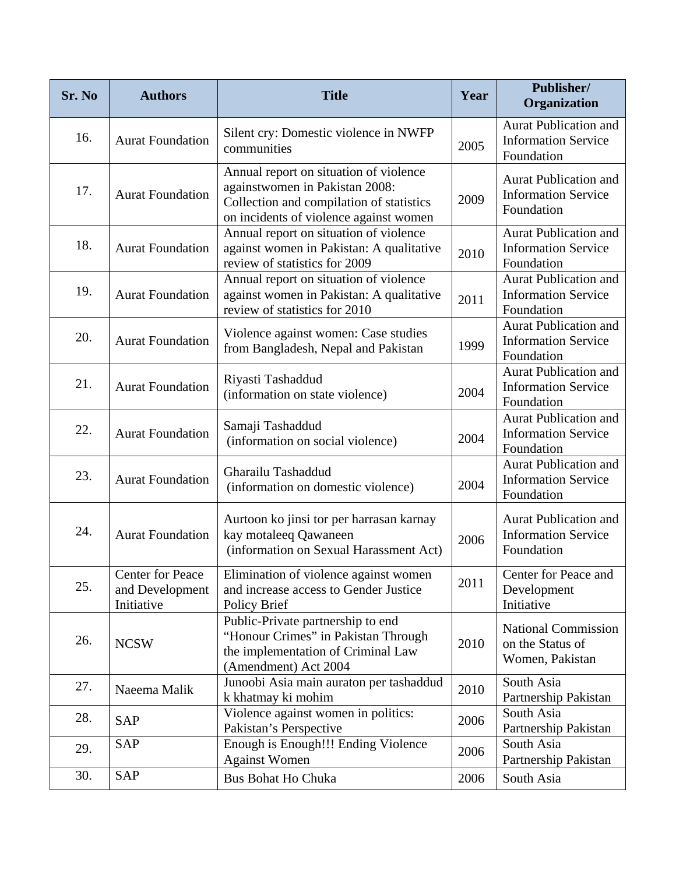| Sr. No | <b>Authors</b>                                           | <b>Title</b>                                                                                                                                                   | Year | Publisher/<br>Organization                                               |
|--------|----------------------------------------------------------|----------------------------------------------------------------------------------------------------------------------------------------------------------------|------|--------------------------------------------------------------------------|
| 16.    | <b>Aurat Foundation</b>                                  | Silent cry: Domestic violence in NWFP<br>communities                                                                                                           | 2005 | <b>Aurat Publication and</b><br><b>Information Service</b><br>Foundation |
| 17.    | <b>Aurat Foundation</b>                                  | Annual report on situation of violence<br>againstwomen in Pakistan 2008:<br>Collection and compilation of statistics<br>on incidents of violence against women | 2009 | <b>Aurat Publication and</b><br><b>Information Service</b><br>Foundation |
| 18.    | <b>Aurat Foundation</b>                                  | Annual report on situation of violence<br>against women in Pakistan: A qualitative<br>review of statistics for 2009                                            | 2010 | <b>Aurat Publication and</b><br><b>Information Service</b><br>Foundation |
| 19.    | <b>Aurat Foundation</b>                                  | Annual report on situation of violence<br>against women in Pakistan: A qualitative<br>review of statistics for 2010                                            | 2011 | <b>Aurat Publication and</b><br><b>Information Service</b><br>Foundation |
| 20.    | <b>Aurat Foundation</b>                                  | Violence against women: Case studies<br>from Bangladesh, Nepal and Pakistan                                                                                    | 1999 | <b>Aurat Publication and</b><br><b>Information Service</b><br>Foundation |
| 21.    | <b>Aurat Foundation</b>                                  | Riyasti Tashaddud<br>(information on state violence)                                                                                                           | 2004 | <b>Aurat Publication and</b><br><b>Information Service</b><br>Foundation |
| 22.    | <b>Aurat Foundation</b>                                  | Samaji Tashaddud<br>(information on social violence)                                                                                                           | 2004 | <b>Aurat Publication and</b><br><b>Information Service</b><br>Foundation |
| 23.    | <b>Aurat Foundation</b>                                  | Gharailu Tashaddud<br>(information on domestic violence)                                                                                                       | 2004 | <b>Aurat Publication and</b><br><b>Information Service</b><br>Foundation |
| 24.    | <b>Aurat Foundation</b>                                  | Aurtoon ko jinsi tor per harrasan karnay<br>kay motaleeq Qawaneen<br>(information on Sexual Harassment Act)                                                    | 2006 | <b>Aurat Publication and</b><br><b>Information Service</b><br>Foundation |
| 25.    | <b>Center for Peace</b><br>and Development<br>Initiative | Elimination of violence against women<br>and increase access to Gender Justice<br>Policy Brief                                                                 | 2011 | Center for Peace and<br>Development<br>Initiative                        |
| 26.    | <b>NCSW</b>                                              | Public-Private partnership to end<br>"Honour Crimes" in Pakistan Through<br>the implementation of Criminal Law<br>(Amendment) Act 2004                         | 2010 | <b>National Commission</b><br>on the Status of<br>Women, Pakistan        |
| 27.    | Naeema Malik                                             | Junoobi Asia main auraton per tashaddud<br>k khatmay ki mohim                                                                                                  | 2010 | South Asia<br>Partnership Pakistan                                       |
| 28.    | <b>SAP</b>                                               | Violence against women in politics:<br>Pakistan's Perspective                                                                                                  | 2006 | South Asia<br>Partnership Pakistan                                       |
| 29.    | <b>SAP</b>                                               | Enough is Enough!!! Ending Violence<br><b>Against Women</b>                                                                                                    | 2006 | South Asia<br>Partnership Pakistan                                       |
| 30.    | <b>SAP</b>                                               | <b>Bus Bohat Ho Chuka</b>                                                                                                                                      | 2006 | South Asia                                                               |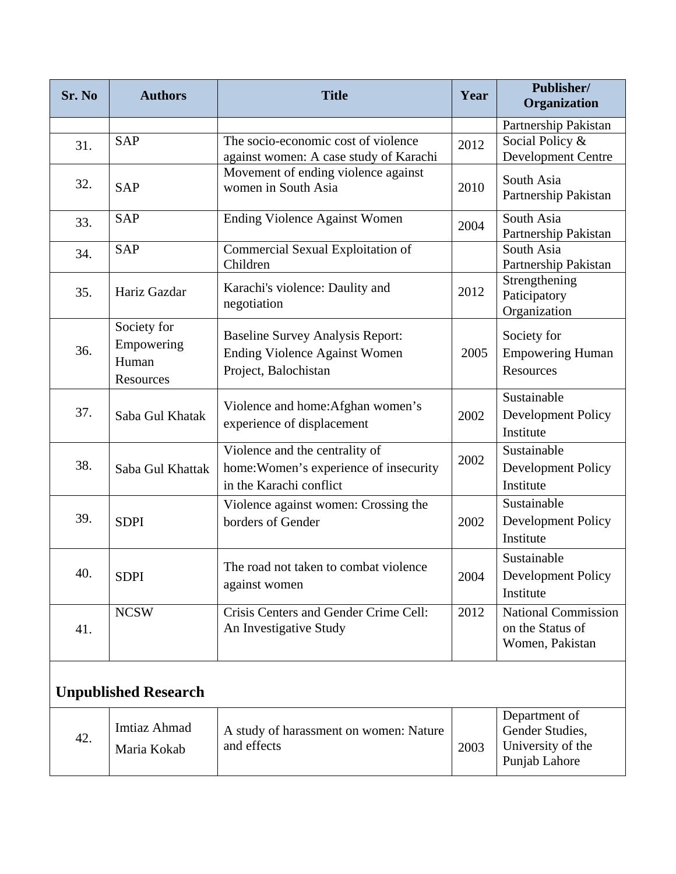| Sr. No                      | <b>Authors</b>                                  | <b>Title</b>                                                                                            | Year | Publisher/<br>Organization                                             |  |
|-----------------------------|-------------------------------------------------|---------------------------------------------------------------------------------------------------------|------|------------------------------------------------------------------------|--|
| 31.                         | <b>SAP</b>                                      | The socio-economic cost of violence<br>against women: A case study of Karachi                           | 2012 | Partnership Pakistan<br>Social Policy &<br><b>Development Centre</b>   |  |
| 32.                         | <b>SAP</b>                                      | Movement of ending violence against<br>women in South Asia                                              | 2010 | South Asia<br>Partnership Pakistan                                     |  |
| 33.                         | <b>SAP</b>                                      | <b>Ending Violence Against Women</b>                                                                    | 2004 | South Asia<br>Partnership Pakistan                                     |  |
| 34.                         | <b>SAP</b>                                      | Commercial Sexual Exploitation of<br>Children                                                           |      | South Asia<br>Partnership Pakistan                                     |  |
| 35.                         | Hariz Gazdar                                    | Karachi's violence: Daulity and<br>negotiation                                                          | 2012 | Strengthening<br>Paticipatory<br>Organization                          |  |
| 36.                         | Society for<br>Empowering<br>Human<br>Resources | <b>Baseline Survey Analysis Report:</b><br><b>Ending Violence Against Women</b><br>Project, Balochistan | 2005 | Society for<br><b>Empowering Human</b><br>Resources                    |  |
| 37.                         | Saba Gul Khatak                                 | Violence and home: Afghan women's<br>experience of displacement                                         | 2002 | Sustainable<br>Development Policy<br>Institute                         |  |
| 38.                         | Saba Gul Khattak                                | Violence and the centrality of<br>home: Women's experience of insecurity<br>in the Karachi conflict     | 2002 | Sustainable<br>Development Policy<br>Institute                         |  |
| 39.                         | <b>SDPI</b>                                     | Violence against women: Crossing the<br>borders of Gender                                               | 2002 | Sustainable<br>Development Policy<br>Institute                         |  |
| 40.                         | <b>SDPI</b>                                     | The road not taken to combat violence<br>against women                                                  | 2004 | Sustainable<br>Development Policy<br>Institute                         |  |
| 41.                         | <b>NCSW</b>                                     | Crisis Centers and Gender Crime Cell:<br>An Investigative Study                                         | 2012 | <b>National Commission</b><br>on the Status of<br>Women, Pakistan      |  |
| <b>Unpublished Research</b> |                                                 |                                                                                                         |      |                                                                        |  |
| 42.                         | Imtiaz Ahmad<br>Maria Kokab                     | A study of harassment on women: Nature<br>and effects                                                   | 2003 | Department of<br>Gender Studies,<br>University of the<br>Punjab Lahore |  |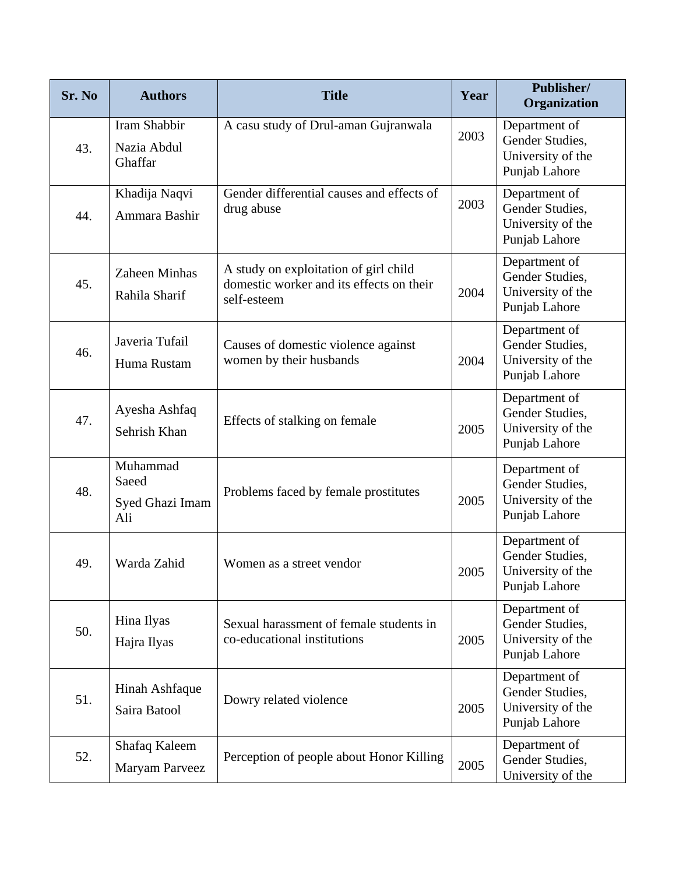| Sr. No | <b>Authors</b>                              | <b>Title</b>                                                                                     | Year | Publisher/<br>Organization                                             |
|--------|---------------------------------------------|--------------------------------------------------------------------------------------------------|------|------------------------------------------------------------------------|
| 43.    | Iram Shabbir<br>Nazia Abdul<br>Ghaffar      | A casu study of Drul-aman Gujranwala                                                             | 2003 | Department of<br>Gender Studies,<br>University of the<br>Punjab Lahore |
| 44.    | Khadija Naqvi<br>Ammara Bashir              | Gender differential causes and effects of<br>drug abuse                                          | 2003 | Department of<br>Gender Studies,<br>University of the<br>Punjab Lahore |
| 45.    | Zaheen Minhas<br>Rahila Sharif              | A study on exploitation of girl child<br>domestic worker and its effects on their<br>self-esteem | 2004 | Department of<br>Gender Studies,<br>University of the<br>Punjab Lahore |
| 46.    | Javeria Tufail<br>Huma Rustam               | Causes of domestic violence against<br>women by their husbands                                   | 2004 | Department of<br>Gender Studies,<br>University of the<br>Punjab Lahore |
| 47.    | Ayesha Ashfaq<br>Sehrish Khan               | Effects of stalking on female                                                                    | 2005 | Department of<br>Gender Studies,<br>University of the<br>Punjab Lahore |
| 48.    | Muhammad<br>Saeed<br>Syed Ghazi Imam<br>Ali | Problems faced by female prostitutes                                                             | 2005 | Department of<br>Gender Studies,<br>University of the<br>Punjab Lahore |
| 49.    | Warda Zahid                                 | Women as a street vendor                                                                         | 2005 | Department of<br>Gender Studies,<br>University of the<br>Punjab Lahore |
| 50.    | Hina Ilyas<br>Hajra Ilyas                   | Sexual harassment of female students in<br>co-educational institutions                           | 2005 | Department of<br>Gender Studies,<br>University of the<br>Punjab Lahore |
| 51.    | Hinah Ashfaque<br>Saira Batool              | Dowry related violence                                                                           | 2005 | Department of<br>Gender Studies,<br>University of the<br>Punjab Lahore |
| 52.    | Shafaq Kaleem<br>Maryam Parveez             | Perception of people about Honor Killing                                                         | 2005 | Department of<br>Gender Studies,<br>University of the                  |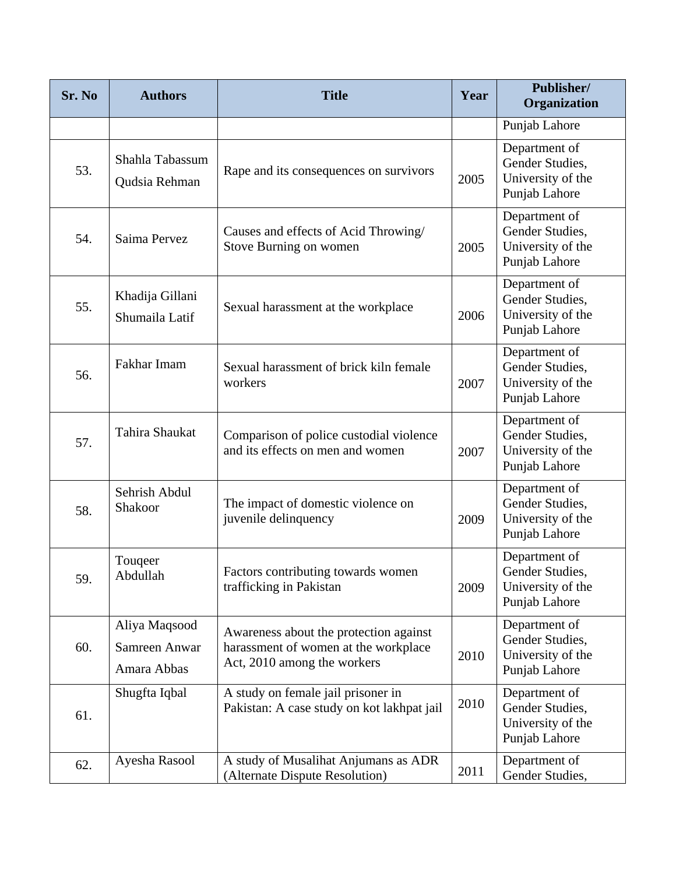| Sr. No | <b>Authors</b>                                | <b>Title</b>                                                                                                  | Year | Publisher/<br>Organization                                             |
|--------|-----------------------------------------------|---------------------------------------------------------------------------------------------------------------|------|------------------------------------------------------------------------|
|        |                                               |                                                                                                               |      | Punjab Lahore                                                          |
| 53.    | Shahla Tabassum<br>Qudsia Rehman              | Rape and its consequences on survivors                                                                        | 2005 | Department of<br>Gender Studies,<br>University of the<br>Punjab Lahore |
| 54.    | Saima Pervez                                  | Causes and effects of Acid Throwing/<br>Stove Burning on women                                                | 2005 | Department of<br>Gender Studies,<br>University of the<br>Punjab Lahore |
| 55.    | Khadija Gillani<br>Shumaila Latif             | Sexual harassment at the workplace                                                                            | 2006 | Department of<br>Gender Studies,<br>University of the<br>Punjab Lahore |
| 56.    | Fakhar Imam                                   | Sexual harassment of brick kiln female<br>workers                                                             | 2007 | Department of<br>Gender Studies,<br>University of the<br>Punjab Lahore |
| 57.    | Tahira Shaukat                                | Comparison of police custodial violence<br>and its effects on men and women                                   | 2007 | Department of<br>Gender Studies,<br>University of the<br>Punjab Lahore |
| 58.    | Sehrish Abdul<br>Shakoor                      | The impact of domestic violence on<br>juvenile delinquency                                                    | 2009 | Department of<br>Gender Studies,<br>University of the<br>Punjab Lahore |
| 59.    | Touqeer<br>Abdullah                           | Factors contributing towards women<br>trafficking in Pakistan                                                 | 2009 | Department of<br>Gender Studies.<br>University of the<br>Punjab Lahore |
| 60.    | Aliya Maqsood<br>Samreen Anwar<br>Amara Abbas | Awareness about the protection against<br>harassment of women at the workplace<br>Act, 2010 among the workers | 2010 | Department of<br>Gender Studies,<br>University of the<br>Punjab Lahore |
| 61.    | Shugfta Iqbal                                 | A study on female jail prisoner in<br>Pakistan: A case study on kot lakhpat jail                              | 2010 | Department of<br>Gender Studies,<br>University of the<br>Punjab Lahore |
| 62.    | Ayesha Rasool                                 | A study of Musalihat Anjumans as ADR<br>(Alternate Dispute Resolution)                                        | 2011 | Department of<br>Gender Studies,                                       |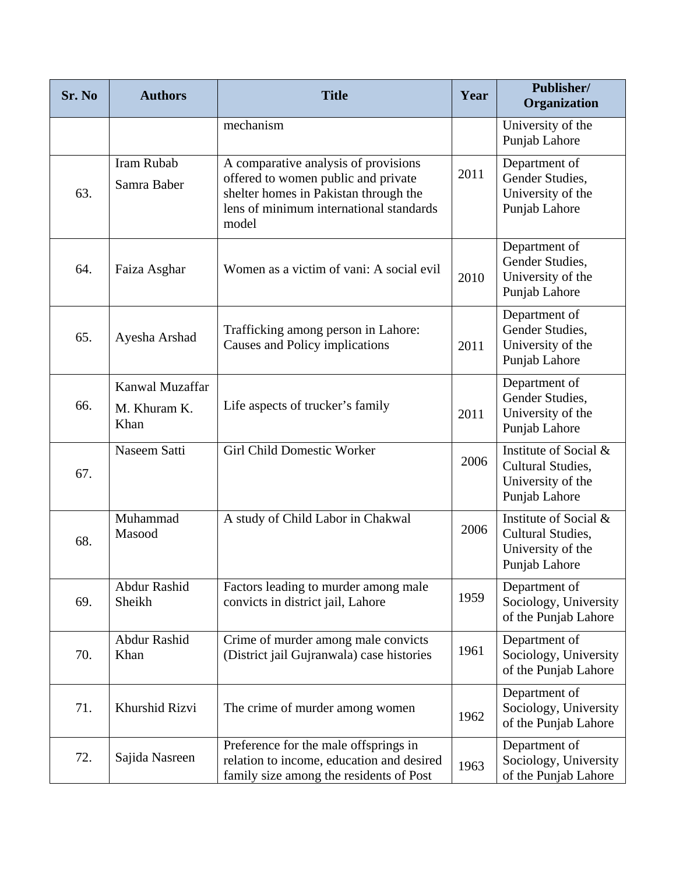| Sr. No | <b>Authors</b>                          | <b>Title</b>                                                                                                                                                             | Year | Publisher/<br>Organization                                                       |
|--------|-----------------------------------------|--------------------------------------------------------------------------------------------------------------------------------------------------------------------------|------|----------------------------------------------------------------------------------|
|        |                                         | mechanism                                                                                                                                                                |      | University of the<br>Punjab Lahore                                               |
| 63.    | <b>Iram Rubab</b><br>Samra Baber        | A comparative analysis of provisions<br>offered to women public and private<br>shelter homes in Pakistan through the<br>lens of minimum international standards<br>model | 2011 | Department of<br>Gender Studies,<br>University of the<br>Punjab Lahore           |
| 64.    | Faiza Asghar                            | Women as a victim of vani: A social evil                                                                                                                                 | 2010 | Department of<br>Gender Studies,<br>University of the<br>Punjab Lahore           |
| 65.    | Ayesha Arshad                           | Trafficking among person in Lahore:<br>Causes and Policy implications                                                                                                    | 2011 | Department of<br>Gender Studies,<br>University of the<br>Punjab Lahore           |
| 66.    | Kanwal Muzaffar<br>M. Khuram K.<br>Khan | Life aspects of trucker's family                                                                                                                                         | 2011 | Department of<br>Gender Studies,<br>University of the<br>Punjab Lahore           |
| 67.    | Naseem Satti                            | Girl Child Domestic Worker                                                                                                                                               | 2006 | Institute of Social &<br>Cultural Studies,<br>University of the<br>Punjab Lahore |
| 68.    | Muhammad<br>Masood                      | A study of Child Labor in Chakwal                                                                                                                                        | 2006 | Institute of Social &<br>Cultural Studies,<br>University of the<br>Punjab Lahore |
| 69.    | Abdur Rashid<br>Sheikh                  | Factors leading to murder among male<br>convicts in district jail, Lahore                                                                                                | 1959 | Department of<br>Sociology, University<br>of the Punjab Lahore                   |
| 70.    | Abdur Rashid<br>Khan                    | Crime of murder among male convicts<br>(District jail Gujranwala) case histories                                                                                         | 1961 | Department of<br>Sociology, University<br>of the Punjab Lahore                   |
| 71.    | Khurshid Rizvi                          | The crime of murder among women                                                                                                                                          | 1962 | Department of<br>Sociology, University<br>of the Punjab Lahore                   |
| 72.    | Sajida Nasreen                          | Preference for the male offsprings in<br>relation to income, education and desired<br>family size among the residents of Post                                            | 1963 | Department of<br>Sociology, University<br>of the Punjab Lahore                   |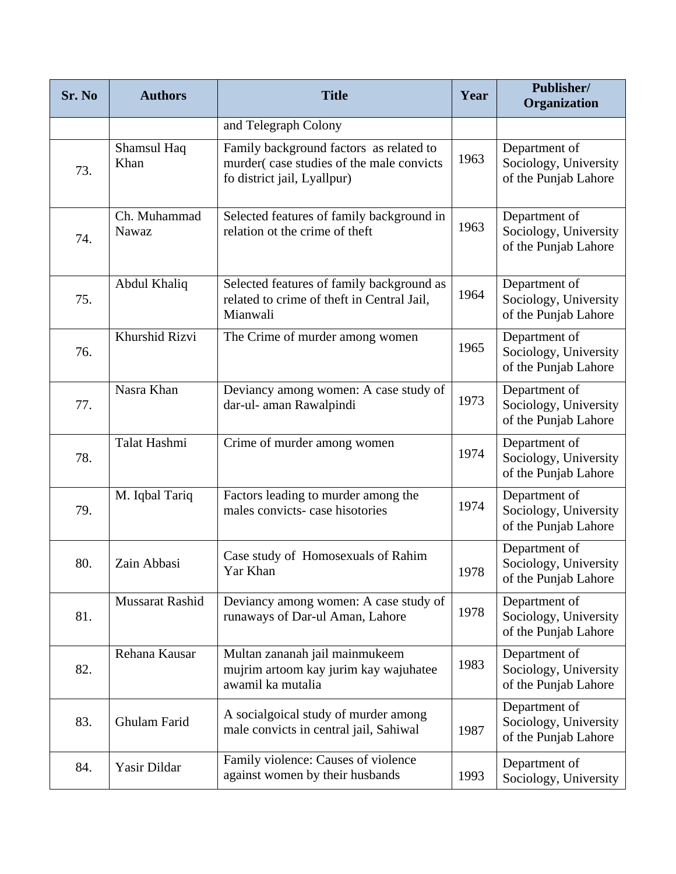| Sr. No | <b>Authors</b>        | <b>Title</b>                                                                                                       | Year | Publisher/<br>Organization                                     |
|--------|-----------------------|--------------------------------------------------------------------------------------------------------------------|------|----------------------------------------------------------------|
|        |                       | and Telegraph Colony                                                                                               |      |                                                                |
| 73.    | Shamsul Haq<br>Khan   | Family background factors as related to<br>murder(case studies of the male convicts<br>fo district jail, Lyallpur) | 1963 | Department of<br>Sociology, University<br>of the Punjab Lahore |
| 74.    | Ch. Muhammad<br>Nawaz | Selected features of family background in<br>relation ot the crime of theft                                        | 1963 | Department of<br>Sociology, University<br>of the Punjab Lahore |
| 75.    | Abdul Khaliq          | Selected features of family background as<br>related to crime of theft in Central Jail,<br>Mianwali                | 1964 | Department of<br>Sociology, University<br>of the Punjab Lahore |
| 76.    | Khurshid Rizvi        | The Crime of murder among women                                                                                    | 1965 | Department of<br>Sociology, University<br>of the Punjab Lahore |
| 77.    | Nasra Khan            | Deviancy among women: A case study of<br>dar-ul- aman Rawalpindi                                                   | 1973 | Department of<br>Sociology, University<br>of the Punjab Lahore |
| 78.    | Talat Hashmi          | Crime of murder among women                                                                                        | 1974 | Department of<br>Sociology, University<br>of the Punjab Lahore |
| 79.    | M. Iqbal Tariq        | Factors leading to murder among the<br>males convicts- case hisotories                                             | 1974 | Department of<br>Sociology, University<br>of the Punjab Lahore |
| 80.    | Zain Abbasi           | Case study of Homosexuals of Rahim<br>Yar Khan                                                                     | 1978 | Department of<br>Sociology, University<br>of the Punjab Lahore |
| 81.    | Mussarat Rashid       | Deviancy among women: A case study of<br>runaways of Dar-ul Aman, Lahore                                           | 1978 | Department of<br>Sociology, University<br>of the Punjab Lahore |
| 82.    | Rehana Kausar         | Multan zananah jail mainmukeem<br>mujrim artoom kay jurim kay wajuhatee<br>awamil ka mutalia                       | 1983 | Department of<br>Sociology, University<br>of the Punjab Lahore |
| 83.    | Ghulam Farid          | A socialgoical study of murder among<br>male convicts in central jail, Sahiwal                                     | 1987 | Department of<br>Sociology, University<br>of the Punjab Lahore |
| 84.    | Yasir Dildar          | Family violence: Causes of violence<br>against women by their husbands                                             | 1993 | Department of<br>Sociology, University                         |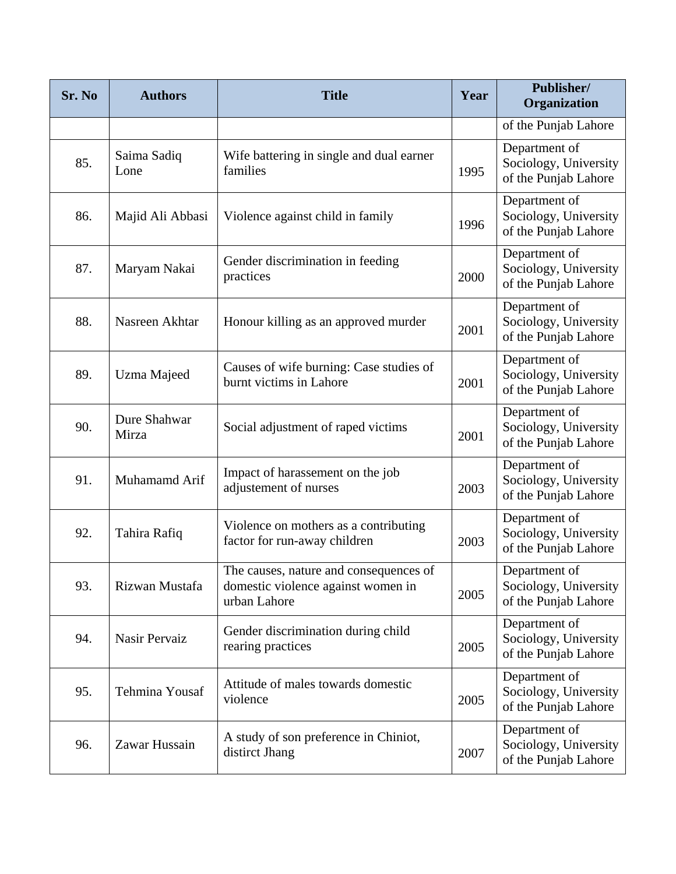| Sr. No | <b>Authors</b>        | <b>Title</b>                                                                                 | Year | Publisher/<br>Organization                                     |
|--------|-----------------------|----------------------------------------------------------------------------------------------|------|----------------------------------------------------------------|
|        |                       |                                                                                              |      | of the Punjab Lahore                                           |
| 85.    | Saima Sadiq<br>Lone   | Wife battering in single and dual earner<br>families                                         | 1995 | Department of<br>Sociology, University<br>of the Punjab Lahore |
| 86.    | Majid Ali Abbasi      | Violence against child in family                                                             | 1996 | Department of<br>Sociology, University<br>of the Punjab Lahore |
| 87.    | Maryam Nakai          | Gender discrimination in feeding<br>practices                                                | 2000 | Department of<br>Sociology, University<br>of the Punjab Lahore |
| 88.    | Nasreen Akhtar        | Honour killing as an approved murder                                                         | 2001 | Department of<br>Sociology, University<br>of the Punjab Lahore |
| 89.    | Uzma Majeed           | Causes of wife burning: Case studies of<br>burnt victims in Lahore                           | 2001 | Department of<br>Sociology, University<br>of the Punjab Lahore |
| 90.    | Dure Shahwar<br>Mirza | Social adjustment of raped victims                                                           | 2001 | Department of<br>Sociology, University<br>of the Punjab Lahore |
| 91.    | Muhamamd Arif         | Impact of harassement on the job<br>adjustement of nurses                                    | 2003 | Department of<br>Sociology, University<br>of the Punjab Lahore |
| 92.    | Tahira Rafiq          | Violence on mothers as a contributing<br>factor for run-away children                        | 2003 | Department of<br>Sociology, University<br>of the Punjab Lahore |
| 93.    | Rizwan Mustafa        | The causes, nature and consequences of<br>domestic violence against women in<br>urban Lahore | 2005 | Department of<br>Sociology, University<br>of the Punjab Lahore |
| 94.    | Nasir Pervaiz         | Gender discrimination during child<br>rearing practices                                      | 2005 | Department of<br>Sociology, University<br>of the Punjab Lahore |
| 95.    | Tehmina Yousaf        | Attitude of males towards domestic<br>violence                                               | 2005 | Department of<br>Sociology, University<br>of the Punjab Lahore |
| 96.    | Zawar Hussain         | A study of son preference in Chiniot,<br>distirct Jhang                                      | 2007 | Department of<br>Sociology, University<br>of the Punjab Lahore |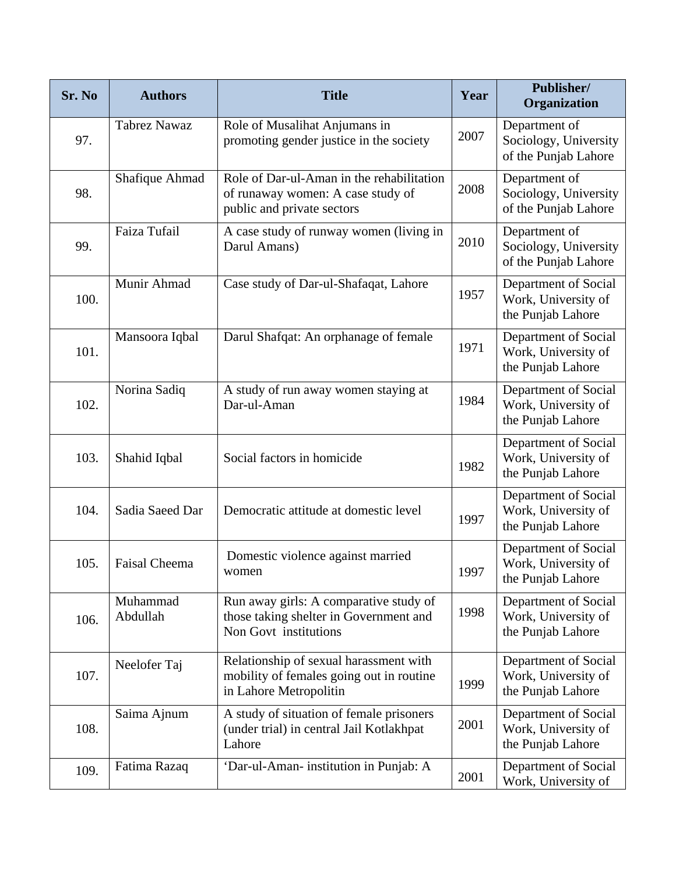| Sr. No | <b>Authors</b>       | <b>Title</b>                                                                                                 | Year | Publisher/<br>Organization                                       |
|--------|----------------------|--------------------------------------------------------------------------------------------------------------|------|------------------------------------------------------------------|
| 97.    | <b>Tabrez Nawaz</b>  | Role of Musalihat Anjumans in<br>promoting gender justice in the society                                     | 2007 | Department of<br>Sociology, University<br>of the Punjab Lahore   |
| 98.    | Shafique Ahmad       | Role of Dar-ul-Aman in the rehabilitation<br>of runaway women: A case study of<br>public and private sectors | 2008 | Department of<br>Sociology, University<br>of the Punjab Lahore   |
| 99.    | Faiza Tufail         | A case study of runway women (living in<br>Darul Amans)                                                      | 2010 | Department of<br>Sociology, University<br>of the Punjab Lahore   |
| 100.   | Munir Ahmad          | Case study of Dar-ul-Shafaqat, Lahore                                                                        | 1957 | Department of Social<br>Work, University of<br>the Punjab Lahore |
| 101.   | Mansoora Iqbal       | Darul Shafqat: An orphanage of female                                                                        | 1971 | Department of Social<br>Work, University of<br>the Punjab Lahore |
| 102.   | Norina Sadiq         | A study of run away women staying at<br>Dar-ul-Aman                                                          | 1984 | Department of Social<br>Work, University of<br>the Punjab Lahore |
| 103.   | Shahid Iqbal         | Social factors in homicide                                                                                   | 1982 | Department of Social<br>Work, University of<br>the Punjab Lahore |
| 104.   | Sadia Saeed Dar      | Democratic attitude at domestic level                                                                        | 1997 | Department of Social<br>Work, University of<br>the Punjab Lahore |
| 105.   | <b>Faisal Cheema</b> | Domestic violence against married<br>women                                                                   | 1997 | Department of Social<br>Work, University of<br>the Punjab Lahore |
| 106.   | Muhammad<br>Abdullah | Run away girls: A comparative study of<br>those taking shelter in Government and<br>Non Govt institutions    | 1998 | Department of Social<br>Work, University of<br>the Punjab Lahore |
| 107.   | Neelofer Taj         | Relationship of sexual harassment with<br>mobility of females going out in routine<br>in Lahore Metropolitin | 1999 | Department of Social<br>Work, University of<br>the Punjab Lahore |
| 108.   | Saima Ajnum          | A study of situation of female prisoners<br>(under trial) in central Jail Kotlakhpat<br>Lahore               | 2001 | Department of Social<br>Work, University of<br>the Punjab Lahore |
| 109.   | Fatima Razaq         | 'Dar-ul-Aman- institution in Punjab: A                                                                       | 2001 | Department of Social<br>Work, University of                      |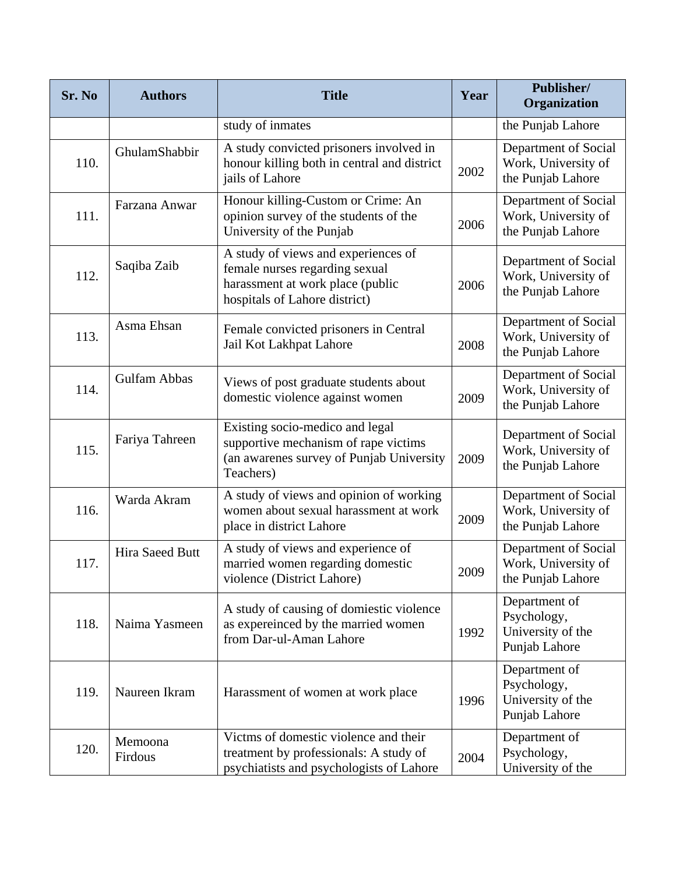| Sr. No | <b>Authors</b>     | <b>Title</b>                                                                                                                               | Year | Publisher/<br>Organization                                         |
|--------|--------------------|--------------------------------------------------------------------------------------------------------------------------------------------|------|--------------------------------------------------------------------|
|        |                    | study of inmates                                                                                                                           |      | the Punjab Lahore                                                  |
| 110.   | GhulamShabbir      | A study convicted prisoners involved in<br>honour killing both in central and district<br>jails of Lahore                                  | 2002 | Department of Social<br>Work, University of<br>the Punjab Lahore   |
| 111.   | Farzana Anwar      | Honour killing-Custom or Crime: An<br>opinion survey of the students of the<br>University of the Punjab                                    | 2006 | Department of Social<br>Work, University of<br>the Punjab Lahore   |
| 112.   | Saqiba Zaib        | A study of views and experiences of<br>female nurses regarding sexual<br>harassment at work place (public<br>hospitals of Lahore district) | 2006 | Department of Social<br>Work, University of<br>the Punjab Lahore   |
| 113.   | Asma Ehsan         | Female convicted prisoners in Central<br>Jail Kot Lakhpat Lahore                                                                           | 2008 | Department of Social<br>Work, University of<br>the Punjab Lahore   |
| 114.   | Gulfam Abbas       | Views of post graduate students about<br>domestic violence against women                                                                   | 2009 | Department of Social<br>Work, University of<br>the Punjab Lahore   |
| 115.   | Fariya Tahreen     | Existing socio-medico and legal<br>supportive mechanism of rape victims<br>(an awarenes survey of Punjab University<br>Teachers)           | 2009 | Department of Social<br>Work, University of<br>the Punjab Lahore   |
| 116.   | Warda Akram        | A study of views and opinion of working<br>women about sexual harassment at work<br>place in district Lahore                               | 2009 | Department of Social<br>Work, University of<br>the Punjab Lahore   |
| 117.   | Hira Saeed Butt    | A study of views and experience of<br>married women regarding domestic<br>violence (District Lahore)                                       | 2009 | Department of Social<br>Work, University of<br>the Punjab Lahore   |
| 118.   | Naima Yasmeen      | A study of causing of domiestic violence<br>as expereinced by the married women<br>from Dar-ul-Aman Lahore                                 | 1992 | Department of<br>Psychology,<br>University of the<br>Punjab Lahore |
| 119.   | Naureen Ikram      | Harassment of women at work place                                                                                                          | 1996 | Department of<br>Psychology,<br>University of the<br>Punjab Lahore |
| 120.   | Memoona<br>Firdous | Victms of domestic violence and their<br>treatment by professionals: A study of<br>psychiatists and psychologists of Lahore                | 2004 | Department of<br>Psychology,<br>University of the                  |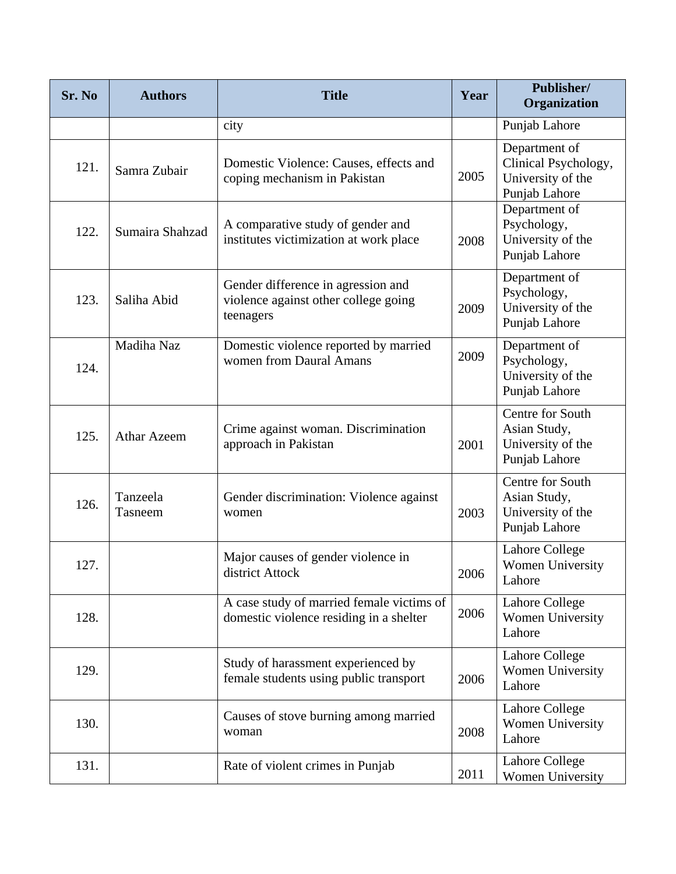| Sr. No | <b>Authors</b>      | <b>Title</b>                                                                            | Year | Publisher/<br>Organization                                                  |
|--------|---------------------|-----------------------------------------------------------------------------------------|------|-----------------------------------------------------------------------------|
|        |                     | city                                                                                    |      | Punjab Lahore                                                               |
| 121.   | Samra Zubair        | Domestic Violence: Causes, effects and<br>coping mechanism in Pakistan                  | 2005 | Department of<br>Clinical Psychology,<br>University of the<br>Punjab Lahore |
| 122.   | Sumaira Shahzad     | A comparative study of gender and<br>institutes victimization at work place             | 2008 | Department of<br>Psychology,<br>University of the<br>Punjab Lahore          |
| 123.   | Saliha Abid         | Gender difference in agression and<br>violence against other college going<br>teenagers | 2009 | Department of<br>Psychology,<br>University of the<br>Punjab Lahore          |
| 124.   | Madiha Naz          | Domestic violence reported by married<br>women from Daural Amans                        | 2009 | Department of<br>Psychology,<br>University of the<br>Punjab Lahore          |
| 125.   | <b>Athar Azeem</b>  | Crime against woman. Discrimination<br>approach in Pakistan                             | 2001 | Centre for South<br>Asian Study,<br>University of the<br>Punjab Lahore      |
| 126.   | Tanzeela<br>Tasneem | Gender discrimination: Violence against<br>women                                        | 2003 | Centre for South<br>Asian Study,<br>University of the<br>Punjab Lahore      |
| 127.   |                     | Major causes of gender violence in<br>district Attock                                   | 2006 | Lahore College<br>Women University<br>Lahore                                |
| 128.   |                     | A case study of married female victims of<br>domestic violence residing in a shelter    | 2006 | Lahore College<br>Women University<br>Lahore                                |
| 129.   |                     | Study of harassment experienced by<br>female students using public transport            | 2006 | Lahore College<br><b>Women University</b><br>Lahore                         |
| 130.   |                     | Causes of stove burning among married<br>woman                                          | 2008 | Lahore College<br><b>Women University</b><br>Lahore                         |
| 131.   |                     | Rate of violent crimes in Punjab                                                        | 2011 | Lahore College<br>Women University                                          |